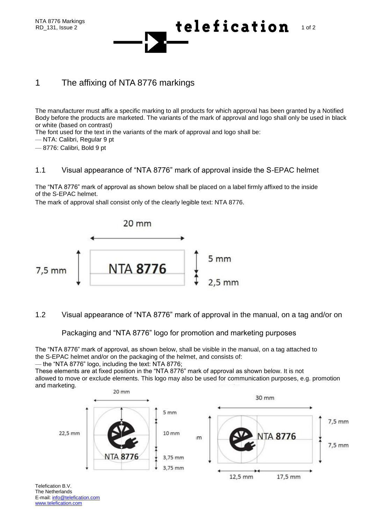

## 1 The affixing of NTA 8776 markings

The manufacturer must affix a specific marking to all products for which approval has been granted by a Notified Body before the products are marketed. The variants of the mark of approval and logo shall only be used in black or white (based on contrast)

The font used for the text in the variants of the mark of approval and logo shall be:

— NTA: Calibri, Regular 9 pt

— 8776: Calibri, Bold 9 pt

## 1.1 Visual appearance of "NTA 8776" mark of approval inside the S-EPAC helmet

The "NTA 8776" mark of approval as shown below shall be placed on a label firmly affixed to the inside of the S-EPAC helmet.

The mark of approval shall consist only of the clearly legible text: NTA 8776.



1.2 Visual appearance of "NTA 8776" mark of approval in the manual, on a tag and/or on

Packaging and "NTA 8776" logo for promotion and marketing purposes

The "NTA 8776" mark of approval, as shown below, shall be visible in the manual, on a tag attached to the S-EPAC helmet and/or on the packaging of the helmet, and consists of: — the "NTA 8776" logo, including the text: NTA 8776;

These elements are at fixed position in the "NTA 8776" mark of approval as shown below. It is not allowed to move or exclude elements. This logo may also be used for communication purposes, e.g. promotion and marketing.



Telefication B.V. The Netherlands E-mail: info@telefication.com www.telefication.com